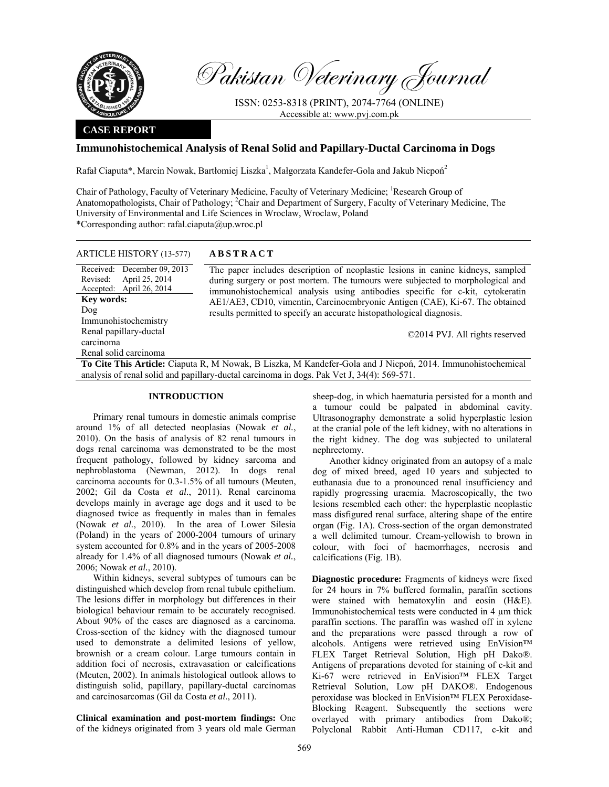

Received: Revised:

**Key words:**  Dog

carcinoma

Accepted: April 26, 2014

Immunohistochemistry Renal papillary-ductal

Renal solid carcinoma

April 25, 2014

Pakistan Veterinary Journal

ISSN: 0253-8318 (PRINT), 2074-7764 (ONLINE) Accessible at: www.pvj.com.pk

## **CASE REPORT**

# **Immunohistochemical Analysis of Renal Solid and Papillary-Ductal Carcinoma in Dogs**

Rafał Ciaputa\*, Marcin Nowak, Bartłomiej Liszka<sup>1</sup>, Małgorzata Kandefer-Gola and Jakub Nicpoń<sup>2</sup>

Chair of Pathology, Faculty of Veterinary Medicine, Faculty of Veterinary Medicine; Research Group of Anatomopathologists, Chair of Pathology; <sup>2</sup>Chair and Department of Surgery, Faculty of Veterinary Medicine, The University of Environmental and Life Sciences in Wroclaw, Wroclaw, Poland \*Corresponding author: rafal.ciaputa@up.wroc.pl

| <b>ARTICLE HISTORY (13-577)</b> | <b>ABSTRACT</b> |
|---------------------------------|-----------------|
|---------------------------------|-----------------|

December 09, 2013 The paper includes description of neoplastic lesions in canine kidneys, sampled during surgery or post mortem. The tumours were subjected to morphological and immunohistochemical analysis using antibodies specific for c-kit, cytokeratin AE1/AE3, CD10, vimentin, Carcinoembryonic Antigen (CAE), Ki-67. The obtained results permitted to specify an accurate histopathological diagnosis.

©2014 PVJ. All rights reserved

**To Cite This Article:** Ciaputa R, M Nowak, B Liszka, M Kandefer-Gola and J Nicpoń, 2014. Immunohistochemical analysis of renal solid and papillary-ductal carcinoma in dogs. Pak Vet J, 34(4): 569-571.

## **INTRODUCTION**

Primary renal tumours in domestic animals comprise around 1% of all detected neoplasias (Nowak *et al.*, 2010). On the basis of analysis of 82 renal tumours in dogs renal carcinoma was demonstrated to be the most frequent pathology, followed by kidney sarcoma and nephroblastoma (Newman, 2012). In dogs renal carcinoma accounts for 0.3-1.5% of all tumours (Meuten, 2002; Gil da Costa *et al.*, 2011). Renal carcinoma develops mainly in average age dogs and it used to be diagnosed twice as frequently in males than in females (Nowak *et al.*, 2010). In the area of Lower Silesia (Poland) in the years of 2000-2004 tumours of urinary system accounted for 0.8% and in the years of 2005-2008 already for 1.4% of all diagnosed tumours (Nowak *et al.*, 2006; Nowak *et al.*, 2010).

Within kidneys, several subtypes of tumours can be distinguished which develop from renal tubule epithelium. The lesions differ in morphology but differences in their biological behaviour remain to be accurately recognised. About 90% of the cases are diagnosed as a carcinoma. Cross-section of the kidney with the diagnosed tumour used to demonstrate a delimited lesions of yellow, brownish or a cream colour. Large tumours contain in addition foci of necrosis, extravasation or calcifications (Meuten, 2002). In animals histological outlook allows to distinguish solid, papillary, papillary-ductal carcinomas and carcinosarcomas (Gil da Costa *et al.*, 2011).

**Clinical examination and post-mortem findings:** One of the kidneys originated from 3 years old male German sheep-dog, in which haematuria persisted for a month and a tumour could be palpated in abdominal cavity. Ultrasonography demonstrate a solid hyperplastic lesion at the cranial pole of the left kidney, with no alterations in the right kidney. The dog was subjected to unilateral nephrectomy.

Another kidney originated from an autopsy of a male dog of mixed breed, aged 10 years and subjected to euthanasia due to a pronounced renal insufficiency and rapidly progressing uraemia. Macroscopically, the two lesions resembled each other: the hyperplastic neoplastic mass disfigured renal surface, altering shape of the entire organ (Fig. 1A). Cross-section of the organ demonstrated a well delimited tumour. Cream-yellowish to brown in colour, with foci of haemorrhages, necrosis and calcifications (Fig. 1B).

**Diagnostic procedure:** Fragments of kidneys were fixed for 24 hours in 7% buffered formalin, paraffin sections were stained with hematoxylin and eosin (H&E). Immunohistochemical tests were conducted in 4 µm thick paraffin sections. The paraffin was washed off in xylene and the preparations were passed through a row of alcohols. Antigens were retrieved using EnVision™ FLEX Target Retrieval Solution, High pH Dako®. Antigens of preparations devoted for staining of c-kit and Ki-67 were retrieved in EnVision™ FLEX Target Retrieval Solution, Low pH DAKO®. Endogenous peroxidase was blocked in EnVision™ FLEX Peroxidase-Blocking Reagent. Subsequently the sections were overlayed with primary antibodies from Dako®; Polyclonal Rabbit Anti-Human CD117, c-kit and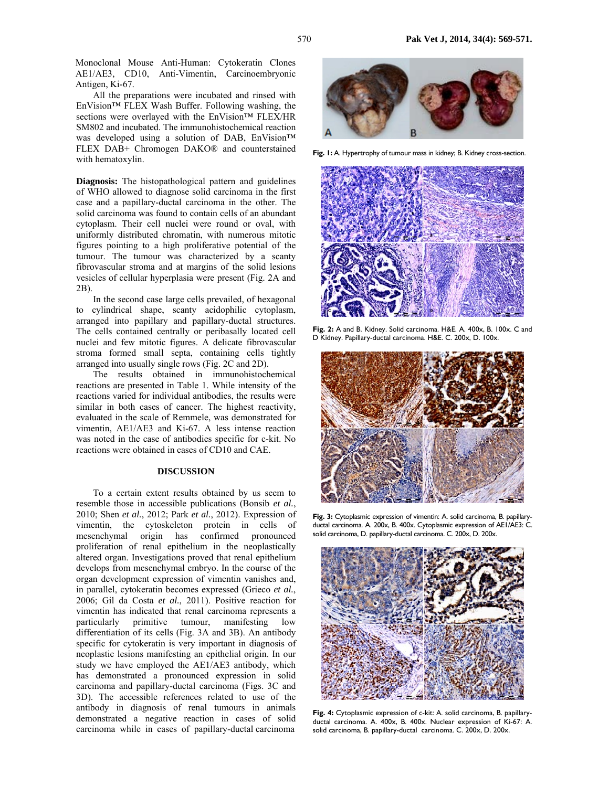Monoclonal Mouse Anti-Human: Cytokeratin Clones AE1/AE3, CD10, Anti-Vimentin, Carcinoembryonic Antigen, Ki-67.

All the preparations were incubated and rinsed with EnVision™ FLEX Wash Buffer. Following washing, the sections were overlayed with the EnVision™ FLEX/HR SM802 and incubated. The immunohistochemical reaction was developed using a solution of DAB, EnVision™ FLEX DAB+ Chromogen DAKO® and counterstained with hematoxylin.

**Diagnosis:** The histopathological pattern and guidelines of WHO allowed to diagnose solid carcinoma in the first case and a papillary-ductal carcinoma in the other. The solid carcinoma was found to contain cells of an abundant cytoplasm. Their cell nuclei were round or oval, with uniformly distributed chromatin, with numerous mitotic figures pointing to a high proliferative potential of the tumour. The tumour was characterized by a scanty fibrovascular stroma and at margins of the solid lesions vesicles of cellular hyperplasia were present (Fig. 2A and 2B).

In the second case large cells prevailed, of hexagonal to cylindrical shape, scanty acidophilic cytoplasm, arranged into papillary and papillary-ductal structures. The cells contained centrally or peribasally located cell nuclei and few mitotic figures. A delicate fibrovascular stroma formed small septa, containing cells tightly arranged into usually single rows (Fig. 2C and 2D).

The results obtained in immunohistochemical reactions are presented in Table 1. While intensity of the reactions varied for individual antibodies, the results were similar in both cases of cancer. The highest reactivity, evaluated in the scale of Remmele, was demonstrated for vimentin, AE1/AE3 and Ki-67. A less intense reaction was noted in the case of antibodies specific for c-kit. No reactions were obtained in cases of CD10 and CAE.

### **DISCUSSION**

To a certain extent results obtained by us seem to resemble those in accessible publications (Bonsib *et al.*, 2010; Shen *et al.*, 2012; Park *et al.*, 2012). Expression of vimentin, the cytoskeleton protein in cells of mesenchymal origin has confirmed pronounced proliferation of renal epithelium in the neoplastically altered organ. Investigations proved that renal epithelium develops from mesenchymal embryo. In the course of the organ development expression of vimentin vanishes and, in parallel, cytokeratin becomes expressed (Grieco *et al.*, 2006; Gil da Costa *et al.*, 2011). Positive reaction for vimentin has indicated that renal carcinoma represents a particularly primitive tumour, manifesting low differentiation of its cells (Fig. 3A and 3B). An antibody specific for cytokeratin is very important in diagnosis of neoplastic lesions manifesting an epithelial origin. In our study we have employed the AE1/AE3 antibody, which has demonstrated a pronounced expression in solid carcinoma and papillary-ductal carcinoma (Figs. 3C and 3D). The accessible references related to use of the antibody in diagnosis of renal tumours in animals demonstrated a negative reaction in cases of solid carcinoma while in cases of papillary-ductal carcinoma



**Fig. 1:** A. Hypertrophy of tumour mass in kidney; B. Kidney cross-section.



**Fig. 2:** A and B. Kidney. Solid carcinoma. H&E. A. 400x, B. 100x. C and D Kidney. Papillary-ductal carcinoma. H&E. C. 200x, D. 100x.



**Fig. 3:** Cytoplasmic expression of vimentin: A. solid carcinoma, B. papillaryductal carcinoma. A. 200x, B. 400x. Cytoplasmic expression of AE1/AE3: C. solid carcinoma, D. papillary-ductal carcinoma. C. 200x, D. 200x.



**Fig. 4:** Cytoplasmic expression of c-kit: A. solid carcinoma, B. papillaryductal carcinoma. A. 400x, B. 400x. Nuclear expression of Ki-67: A. solid carcinoma, B. papillary-ductal carcinoma. C. 200x, D. 200x.